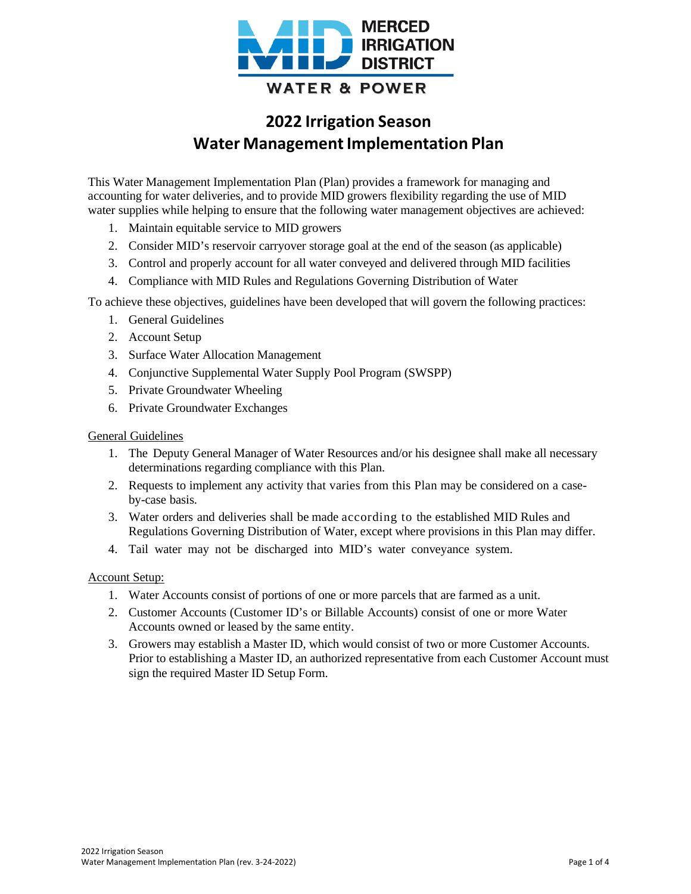

# **2022 Irrigation Season Water Management Implementation Plan**

This Water Management Implementation Plan (Plan) provides a framework for managing and accounting for water deliveries, and to provide MID growers flexibility regarding the use of MID water supplies while helping to ensure that the following water management objectives are achieved:

- 1. Maintain equitable service to MID growers
- 2. Consider MID's reservoir carryover storage goal at the end of the season (as applicable)
- 3. Control and properly account for all water conveyed and delivered through MID facilities
- 4. Compliance with MID Rules and Regulations Governing Distribution of Water

To achieve these objectives, guidelines have been developed that will govern the following practices:

- 1. General Guidelines
- 2. Account Setup
- 3. Surface Water Allocation Management
- 4. Conjunctive Supplemental Water Supply Pool Program (SWSPP)
- 5. Private Groundwater Wheeling
- 6. Private Groundwater Exchanges

## General Guidelines

- 1. The Deputy General Manager of Water Resources and/or his designee shall make all necessary determinations regarding compliance with this Plan.
- 2. Requests to implement any activity that varies from this Plan may be considered on a caseby-case basis.
- 3. Water orders and deliveries shall be made according to the established MID Rules and Regulations Governing Distribution of Water, except where provisions in this Plan may differ.
- 4. Tail water may not be discharged into MID's water conveyance system.

#### Account Setup:

- 1. Water Accounts consist of portions of one or more parcels that are farmed as a unit.
- 2. Customer Accounts (Customer ID's or Billable Accounts) consist of one or more Water Accounts owned or leased by the same entity.
- 3. Growers may establish a Master ID, which would consist of two or more Customer Accounts. Prior to establishing a Master ID, an authorized representative from each Customer Account must sign the required Master ID Setup Form.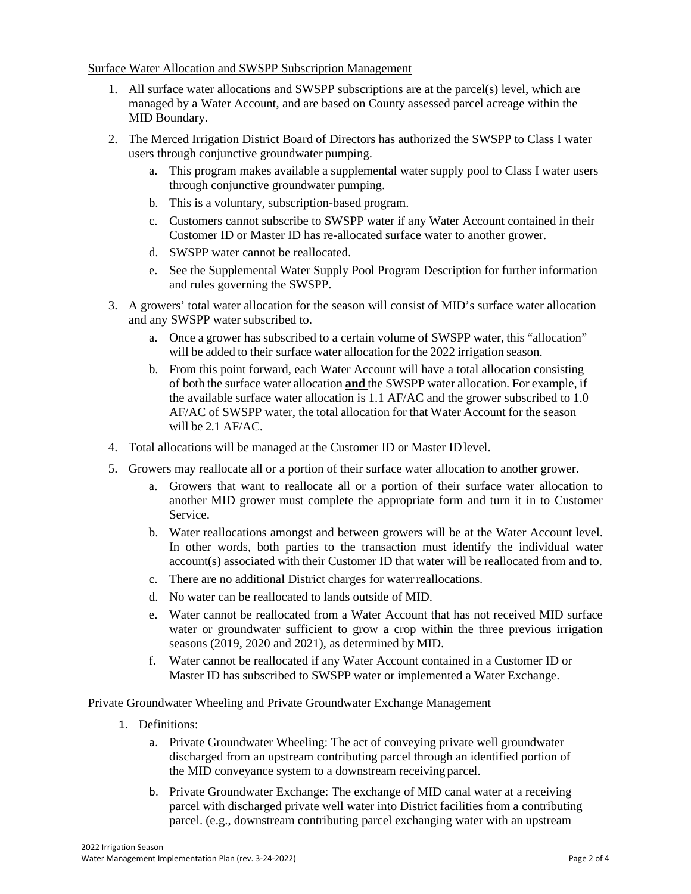#### Surface Water Allocation and SWSPP Subscription Management

- 1. All surface water allocations and SWSPP subscriptions are at the parcel(s) level, which are managed by a Water Account, and are based on County assessed parcel acreage within the MID Boundary.
- 2. The Merced Irrigation District Board of Directors has authorized the SWSPP to Class I water users through conjunctive groundwater pumping.
	- a. This program makes available a supplemental water supply pool to Class I water users through conjunctive groundwater pumping.
	- b. This is a voluntary, subscription-based program.
	- c. Customers cannot subscribe to SWSPP water if any Water Account contained in their Customer ID or Master ID has re-allocated surface water to another grower.
	- d. SWSPP water cannot be reallocated.
	- e. See the Supplemental Water Supply Pool Program Description for further information and rules governing the SWSPP.
- 3. A growers' total water allocation for the season will consist of MID's surface water allocation and any SWSPP water subscribed to.
	- a. Once a grower has subscribed to a certain volume of SWSPP water, this "allocation" will be added to their surface water allocation for the 2022 irrigation season.
	- b. From this point forward, each Water Account will have a total allocation consisting of both the surface water allocation **and** the SWSPP water allocation. For example, if the available surface water allocation is 1.1 AF/AC and the grower subscribed to 1.0 AF/AC of SWSPP water, the total allocation for that Water Account for the season will be 2.1 AF/AC.
- 4. Total allocations will be managed at the Customer ID or Master IDlevel.
- 5. Growers may reallocate all or a portion of their surface water allocation to another grower.
	- a. Growers that want to reallocate all or a portion of their surface water allocation to another MID grower must complete the appropriate form and turn it in to Customer Service.
	- b. Water reallocations amongst and between growers will be at the Water Account level. In other words, both parties to the transaction must identify the individual water account(s) associated with their Customer ID that water will be reallocated from and to.
	- c. There are no additional District charges for waterreallocations.
	- d. No water can be reallocated to lands outside of MID.
	- e. Water cannot be reallocated from a Water Account that has not received MID surface water or groundwater sufficient to grow a crop within the three previous irrigation seasons (2019, 2020 and 2021), as determined by MID.
	- f. Water cannot be reallocated if any Water Account contained in a Customer ID or Master ID has subscribed to SWSPP water or implemented a Water Exchange.

#### Private Groundwater Wheeling and Private Groundwater Exchange Management

- 1. Definitions:
	- a. Private Groundwater Wheeling: The act of conveying private well groundwater discharged from an upstream contributing parcel through an identified portion of the MID conveyance system to a downstream receiving parcel.
	- b. Private Groundwater Exchange: The exchange of MID canal water at a receiving parcel with discharged private well water into District facilities from a contributing parcel. (e.g., downstream contributing parcel exchanging water with an upstream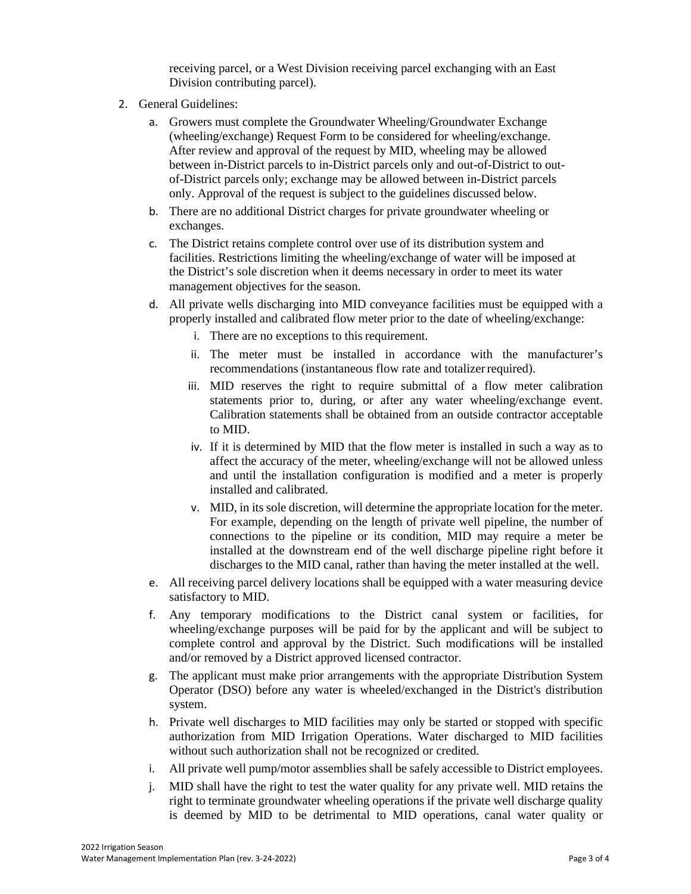receiving parcel, or a West Division receiving parcel exchanging with an East Division contributing parcel).

- 2. General Guidelines:
	- a. Growers must complete the Groundwater Wheeling/Groundwater Exchange (wheeling/exchange) Request Form to be considered for wheeling/exchange. After review and approval of the request by MID, wheeling may be allowed between in-District parcels to in-District parcels only and out-of-District to outof-District parcels only; exchange may be allowed between in-District parcels only. Approval of the request is subject to the guidelines discussed below.
	- b. There are no additional District charges for private groundwater wheeling or exchanges.
	- c. The District retains complete control over use of its distribution system and facilities. Restrictions limiting the wheeling/exchange of water will be imposed at the District's sole discretion when it deems necessary in order to meet its water management objectives for the season.
	- d. All private wells discharging into MID conveyance facilities must be equipped with a properly installed and calibrated flow meter prior to the date of wheeling/exchange:
		- i. There are no exceptions to this requirement.
		- ii. The meter must be installed in accordance with the manufacturer's recommendations (instantaneous flow rate and totalizer required).
		- iii. MID reserves the right to require submittal of a flow meter calibration statements prior to, during, or after any water wheeling/exchange event. Calibration statements shall be obtained from an outside contractor acceptable to MID.
		- iv. If it is determined by MID that the flow meter is installed in such a way as to affect the accuracy of the meter, wheeling/exchange will not be allowed unless and until the installation configuration is modified and a meter is properly installed and calibrated.
		- v. MID, in its sole discretion, will determine the appropriate location for the meter. For example, depending on the length of private well pipeline, the number of connections to the pipeline or its condition, MID may require a meter be installed at the downstream end of the well discharge pipeline right before it discharges to the MID canal, rather than having the meter installed at the well.
	- e. All receiving parcel delivery locations shall be equipped with a water measuring device satisfactory to MID.
	- f. Any temporary modifications to the District canal system or facilities, for wheeling/exchange purposes will be paid for by the applicant and will be subject to complete control and approval by the District. Such modifications will be installed and/or removed by a District approved licensed contractor.
	- g. The applicant must make prior arrangements with the appropriate Distribution System Operator (DSO) before any water is wheeled/exchanged in the District's distribution system.
	- h. Private well discharges to MID facilities may only be started or stopped with specific authorization from MID Irrigation Operations. Water discharged to MID facilities without such authorization shall not be recognized or credited.
	- i. All private well pump/motor assemblies shall be safely accessible to District employees.
	- j. MID shall have the right to test the water quality for any private well. MID retains the right to terminate groundwater wheeling operations if the private well discharge quality is deemed by MID to be detrimental to MID operations, canal water quality or